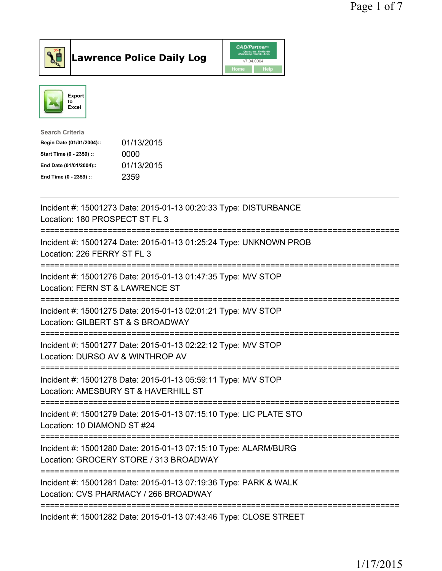



| <b>Search Criteria</b>    |            |
|---------------------------|------------|
| Begin Date (01/01/2004):: | 01/13/2015 |
| Start Time (0 - 2359) ::  | 0000       |
| End Date (01/01/2004)::   | 01/13/2015 |
| End Time (0 - 2359) ::    | 2359       |
|                           |            |

| Incident #: 15001273 Date: 2015-01-13 00:20:33 Type: DISTURBANCE<br>Location: 180 PROSPECT ST FL 3                                                      |
|---------------------------------------------------------------------------------------------------------------------------------------------------------|
| Incident #: 15001274 Date: 2015-01-13 01:25:24 Type: UNKNOWN PROB<br>Location: 226 FERRY ST FL 3                                                        |
| Incident #: 15001276 Date: 2015-01-13 01:47:35 Type: M/V STOP<br>Location: FERN ST & LAWRENCE ST                                                        |
| Incident #: 15001275 Date: 2015-01-13 02:01:21 Type: M/V STOP<br>Location: GILBERT ST & S BROADWAY<br>------------------------                          |
| Incident #: 15001277 Date: 2015-01-13 02:22:12 Type: M/V STOP<br>Location: DURSO AV & WINTHROP AV<br>------------                                       |
| =========================<br>Incident #: 15001278 Date: 2015-01-13 05:59:11 Type: M/V STOP<br>Location: AMESBURY ST & HAVERHILL ST                      |
| ============================<br>Incident #: 15001279 Date: 2015-01-13 07:15:10 Type: LIC PLATE STO<br>Location: 10 DIAMOND ST #24                       |
| :=====================<br>----------------<br>Incident #: 15001280 Date: 2015-01-13 07:15:10 Type: ALARM/BURG<br>Location: GROCERY STORE / 313 BROADWAY |
| -----------------------------------<br>Incident #: 15001281 Date: 2015-01-13 07:19:36 Type: PARK & WALK<br>Location: CVS PHARMACY / 266 BROADWAY        |
| Incident #: 15001282 Date: 2015-01-13 07:43:46 Type: CLOSE STREET                                                                                       |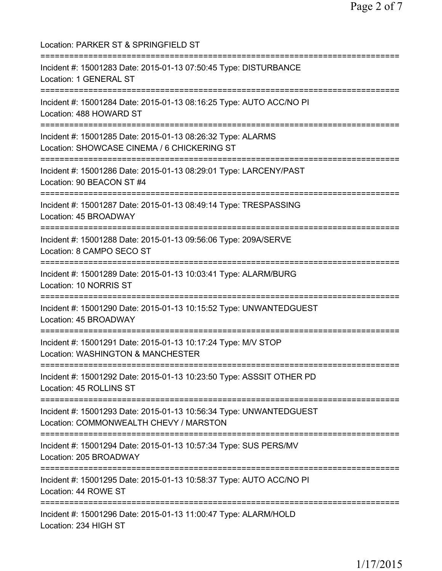Location: PARKER ST & SPRINGFIELD ST =========================================================================== Incident #: 15001283 Date: 2015-01-13 07:50:45 Type: DISTURBANCE Location: 1 GENERAL ST =========================================================================== Incident #: 15001284 Date: 2015-01-13 08:16:25 Type: AUTO ACC/NO PI Location: 488 HOWARD ST =========================================================================== Incident #: 15001285 Date: 2015-01-13 08:26:32 Type: ALARMS Location: SHOWCASE CINEMA / 6 CHICKERING ST =========================================================================== Incident #: 15001286 Date: 2015-01-13 08:29:01 Type: LARCENY/PAST Location: 90 BEACON ST #4 =========================================================================== Incident #: 15001287 Date: 2015-01-13 08:49:14 Type: TRESPASSING Location: 45 BROADWAY =========================================================================== Incident #: 15001288 Date: 2015-01-13 09:56:06 Type: 209A/SERVE Location: 8 CAMPO SECO ST =========================================================================== Incident #: 15001289 Date: 2015-01-13 10:03:41 Type: ALARM/BURG Location: 10 NORRIS ST =========================================================================== Incident #: 15001290 Date: 2015-01-13 10:15:52 Type: UNWANTEDGUEST Location: 45 BROADWAY =========================================================================== Incident #: 15001291 Date: 2015-01-13 10:17:24 Type: M/V STOP Location: WASHINGTON & MANCHESTER =========================================================================== Incident #: 15001292 Date: 2015-01-13 10:23:50 Type: ASSSIT OTHER PD Location: 45 ROLLINS ST =========================================================================== Incident #: 15001293 Date: 2015-01-13 10:56:34 Type: UNWANTEDGUEST Location: COMMONWEALTH CHEVY / MARSTON =========================================================================== Incident #: 15001294 Date: 2015-01-13 10:57:34 Type: SUS PERS/MV Location: 205 BROADWAY =========================================================================== Incident #: 15001295 Date: 2015-01-13 10:58:37 Type: AUTO ACC/NO PI Location: 44 ROWE ST =========================================================================== Incident #: 15001296 Date: 2015-01-13 11:00:47 Type: ALARM/HOLD Location: 234 HIGH ST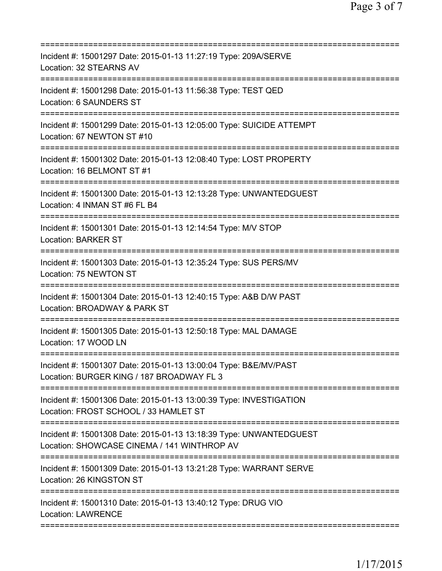| Incident #: 15001297 Date: 2015-01-13 11:27:19 Type: 209A/SERVE<br>Location: 32 STEARNS AV<br>==================                                   |
|----------------------------------------------------------------------------------------------------------------------------------------------------|
| Incident #: 15001298 Date: 2015-01-13 11:56:38 Type: TEST QED<br>Location: 6 SAUNDERS ST                                                           |
| Incident #: 15001299 Date: 2015-01-13 12:05:00 Type: SUICIDE ATTEMPT<br>Location: 67 NEWTON ST #10                                                 |
| Incident #: 15001302 Date: 2015-01-13 12:08:40 Type: LOST PROPERTY<br>Location: 16 BELMONT ST #1                                                   |
| Incident #: 15001300 Date: 2015-01-13 12:13:28 Type: UNWANTEDGUEST<br>Location: 4 INMAN ST #6 FL B4                                                |
| =======================<br>Incident #: 15001301 Date: 2015-01-13 12:14:54 Type: M/V STOP<br><b>Location: BARKER ST</b>                             |
| Incident #: 15001303 Date: 2015-01-13 12:35:24 Type: SUS PERS/MV<br>Location: 75 NEWTON ST                                                         |
| Incident #: 15001304 Date: 2015-01-13 12:40:15 Type: A&B D/W PAST<br>Location: BROADWAY & PARK ST<br>================<br>========================= |
| Incident #: 15001305 Date: 2015-01-13 12:50:18 Type: MAL DAMAGE<br>Location: 17 WOOD LN                                                            |
| Incident #: 15001307 Date: 2015-01-13 13:00:04 Type: B&E/MV/PAST<br>Location: BURGER KING / 187 BROADWAY FL 3                                      |
| Incident #: 15001306 Date: 2015-01-13 13:00:39 Type: INVESTIGATION<br>Location: FROST SCHOOL / 33 HAMLET ST                                        |
| Incident #: 15001308 Date: 2015-01-13 13:18:39 Type: UNWANTEDGUEST<br>Location: SHOWCASE CINEMA / 141 WINTHROP AV                                  |
| Incident #: 15001309 Date: 2015-01-13 13:21:28 Type: WARRANT SERVE<br>Location: 26 KINGSTON ST                                                     |
| Incident #: 15001310 Date: 2015-01-13 13:40:12 Type: DRUG VIO<br><b>Location: LAWRENCE</b>                                                         |
|                                                                                                                                                    |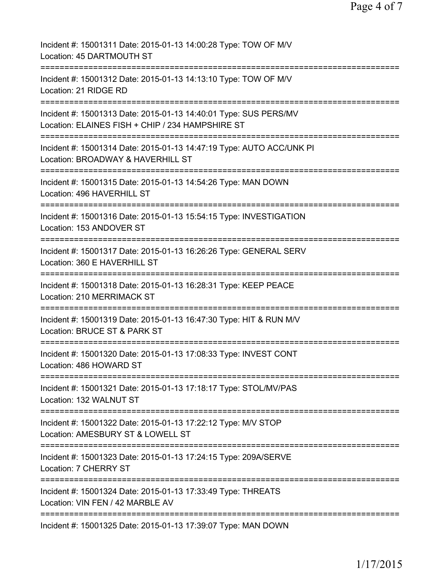| Incident #: 15001311 Date: 2015-01-13 14:00:28 Type: TOW OF M/V<br>Location: 45 DARTMOUTH ST                                                |
|---------------------------------------------------------------------------------------------------------------------------------------------|
| Incident #: 15001312 Date: 2015-01-13 14:13:10 Type: TOW OF M/V<br>Location: 21 RIDGE RD                                                    |
| Incident #: 15001313 Date: 2015-01-13 14:40:01 Type: SUS PERS/MV<br>Location: ELAINES FISH + CHIP / 234 HAMPSHIRE ST                        |
| ======================<br>Incident #: 15001314 Date: 2015-01-13 14:47:19 Type: AUTO ACC/UNK PI<br>Location: BROADWAY & HAVERHILL ST         |
| ============================<br>Incident #: 15001315 Date: 2015-01-13 14:54:26 Type: MAN DOWN<br>Location: 496 HAVERHILL ST                 |
| Incident #: 15001316 Date: 2015-01-13 15:54:15 Type: INVESTIGATION<br>Location: 153 ANDOVER ST                                              |
| Incident #: 15001317 Date: 2015-01-13 16:26:26 Type: GENERAL SERV<br>Location: 360 E HAVERHILL ST                                           |
| -------------<br>Incident #: 15001318 Date: 2015-01-13 16:28:31 Type: KEEP PEACE<br>Location: 210 MERRIMACK ST                              |
| =====================================<br>Incident #: 15001319 Date: 2015-01-13 16:47:30 Type: HIT & RUN M/V<br>Location: BRUCE ST & PARK ST |
| Incident #: 15001320 Date: 2015-01-13 17:08:33 Type: INVEST CONT<br>Location: 486 HOWARD ST                                                 |
| Incident #: 15001321 Date: 2015-01-13 17:18:17 Type: STOL/MV/PAS<br>Location: 132 WALNUT ST                                                 |
| Incident #: 15001322 Date: 2015-01-13 17:22:12 Type: M/V STOP<br>Location: AMESBURY ST & LOWELL ST<br>===============================       |
| Incident #: 15001323 Date: 2015-01-13 17:24:15 Type: 209A/SERVE<br>Location: 7 CHERRY ST                                                    |
| Incident #: 15001324 Date: 2015-01-13 17:33:49 Type: THREATS<br>Location: VIN FEN / 42 MARBLE AV                                            |
| Incident #: 15001325 Date: 2015-01-13 17:39:07 Type: MAN DOWN                                                                               |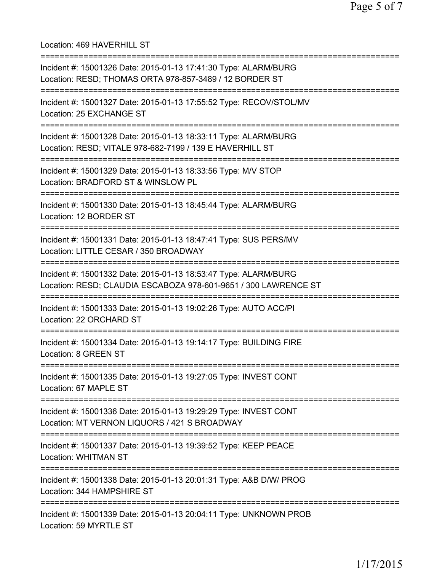Location: 469 HAVERHILL ST

| Incident #: 15001326 Date: 2015-01-13 17:41:30 Type: ALARM/BURG<br>Location: RESD; THOMAS ORTA 978-857-3489 / 12 BORDER ST         |
|------------------------------------------------------------------------------------------------------------------------------------|
| Incident #: 15001327 Date: 2015-01-13 17:55:52 Type: RECOV/STOL/MV<br>Location: 25 EXCHANGE ST                                     |
| Incident #: 15001328 Date: 2015-01-13 18:33:11 Type: ALARM/BURG<br>Location: RESD; VITALE 978-682-7199 / 139 E HAVERHILL ST        |
| Incident #: 15001329 Date: 2015-01-13 18:33:56 Type: M/V STOP<br>Location: BRADFORD ST & WINSLOW PL                                |
| Incident #: 15001330 Date: 2015-01-13 18:45:44 Type: ALARM/BURG<br>Location: 12 BORDER ST                                          |
| Incident #: 15001331 Date: 2015-01-13 18:47:41 Type: SUS PERS/MV<br>Location: LITTLE CESAR / 350 BROADWAY                          |
| Incident #: 15001332 Date: 2015-01-13 18:53:47 Type: ALARM/BURG<br>Location: RESD; CLAUDIA ESCABOZA 978-601-9651 / 300 LAWRENCE ST |
| Incident #: 15001333 Date: 2015-01-13 19:02:26 Type: AUTO ACC/PI<br>Location: 22 ORCHARD ST                                        |
| Incident #: 15001334 Date: 2015-01-13 19:14:17 Type: BUILDING FIRE<br>Location: 8 GREEN ST                                         |
| Incident #: 15001335 Date: 2015-01-13 19:27:05 Type: INVEST CONT<br>Location: 67 MAPLE ST                                          |
| Incident #: 15001336 Date: 2015-01-13 19:29:29 Type: INVEST CONT<br>Location: MT VERNON LIQUORS / 421 S BROADWAY                   |
| Incident #: 15001337 Date: 2015-01-13 19:39:52 Type: KEEP PEACE<br><b>Location: WHITMAN ST</b>                                     |
| Incident #: 15001338 Date: 2015-01-13 20:01:31 Type: A&B D/W/ PROG<br>Location: 344 HAMPSHIRE ST                                   |
| Incident #: 15001339 Date: 2015-01-13 20:04:11 Type: UNKNOWN PROB<br>Location: 59 MYRTLE ST                                        |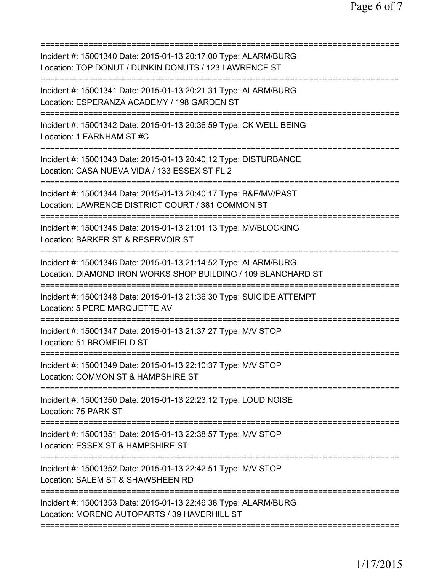=========================================================================== Incident #: 15001340 Date: 2015-01-13 20:17:00 Type: ALARM/BURG Location: TOP DONUT / DUNKIN DONUTS / 123 LAWRENCE ST =========================================================================== Incident #: 15001341 Date: 2015-01-13 20:21:31 Type: ALARM/BURG Location: ESPERANZA ACADEMY / 198 GARDEN ST =========================================================================== Incident #: 15001342 Date: 2015-01-13 20:36:59 Type: CK WELL BEING Location: 1 FARNHAM ST #C =========================================================================== Incident #: 15001343 Date: 2015-01-13 20:40:12 Type: DISTURBANCE Location: CASA NUEVA VIDA / 133 ESSEX ST FL 2 =========================================================================== Incident #: 15001344 Date: 2015-01-13 20:40:17 Type: B&E/MV/PAST Location: LAWRENCE DISTRICT COURT / 381 COMMON ST =========================================================================== Incident #: 15001345 Date: 2015-01-13 21:01:13 Type: MV/BLOCKING Location: BARKER ST & RESERVOIR ST =========================================================================== Incident #: 15001346 Date: 2015-01-13 21:14:52 Type: ALARM/BURG Location: DIAMOND IRON WORKS SHOP BUILDING / 109 BLANCHARD ST =========================================================================== Incident #: 15001348 Date: 2015-01-13 21:36:30 Type: SUICIDE ATTEMPT Location: 5 PERE MARQUETTE AV =========================================================================== Incident #: 15001347 Date: 2015-01-13 21:37:27 Type: M/V STOP Location: 51 BROMFIELD ST =========================================================================== Incident #: 15001349 Date: 2015-01-13 22:10:37 Type: M/V STOP Location: COMMON ST & HAMPSHIRE ST =========================================================================== Incident #: 15001350 Date: 2015-01-13 22:23:12 Type: LOUD NOISE Location: 75 PARK ST =========================================================================== Incident #: 15001351 Date: 2015-01-13 22:38:57 Type: M/V STOP Location: ESSEX ST & HAMPSHIRE ST =========================================================================== Incident #: 15001352 Date: 2015-01-13 22:42:51 Type: M/V STOP Location: SALEM ST & SHAWSHEEN RD =========================================================================== Incident #: 15001353 Date: 2015-01-13 22:46:38 Type: ALARM/BURG Location: MORENO AUTOPARTS / 39 HAVERHILL ST ===========================================================================